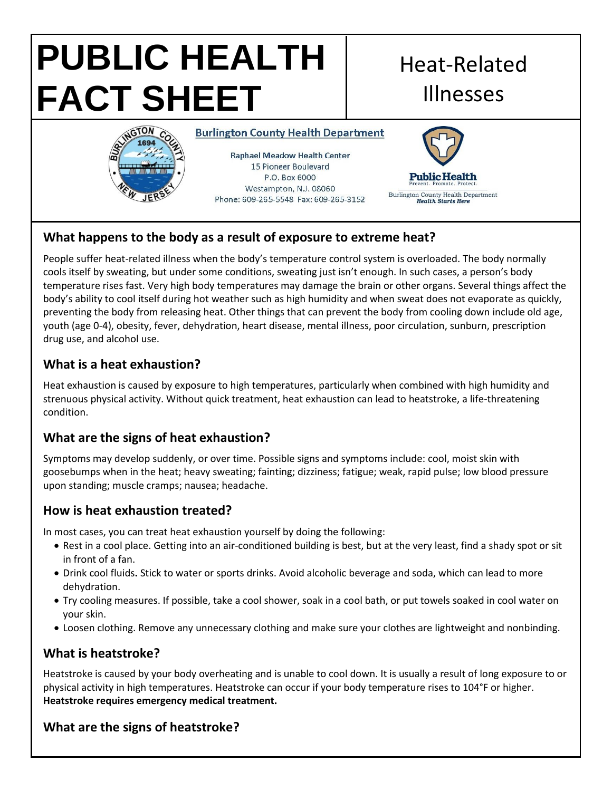#### **PUBLIC HEALTH**  Heat-Related **FACT SHEET** IllnessesINGTON CO **Burlington County Health Department Raphael Meadow Health Center** 15 Pioneer Boulevard P.O. Box 6000 **Public Health** Westampton, N.J. 08060 Burlington County Health Department<br>Health Starts Here Phone: 609-265-5548 Fax: 609-265-3152

# **What happens to the body as a result of exposure to extreme heat?**

People suffer heat-related illness when the body's temperature control system is overloaded. The body normally cools itself by sweating, but under some conditions, sweating just isn't enough. In such cases, a person's body temperature rises fast. Very high body temperatures may damage the brain or other organs. Several things affect the body's ability to cool itself during hot weather such as high humidity and when sweat does not evaporate as quickly, preventing the body from releasing heat. Other things that can prevent the body from cooling down include old age, youth (age 0-4), obesity, fever, dehydration, heart disease, mental illness, poor circulation, sunburn, prescription drug use, and alcohol use.

## **What is a heat exhaustion?**

Heat exhaustion is caused by exposure to high temperatures, particularly when combined with high humidity and strenuous physical activity. Without quick treatment, heat exhaustion can lead to heatstroke, a life-threatening condition.

## **What are the signs of heat exhaustion?**

Symptoms may develop suddenly, or over time. Possible signs and symptoms include: cool, moist skin with goosebumps when in the heat; heavy sweating; fainting; dizziness; fatigue; weak, rapid pulse; low blood pressure upon standing; muscle cramps; nausea; headache.

## **How is heat exhaustion treated?**

In most cases, you can treat heat exhaustion yourself by doing the following:

- Rest in a cool place. Getting into an air-conditioned building is best, but at the very least, find a shady spot or sit in front of a fan.
- Drink cool fluids**.** Stick to water or sports drinks. Avoid alcoholic beverage and soda, which can lead to more dehydration.
- Try cooling measures. If possible, take a cool shower, soak in a cool bath, or put towels soaked in cool water on your skin.
- Loosen clothing. Remove any unnecessary clothing and make sure your clothes are lightweight and nonbinding.

## **What is heatstroke?**

Heatstroke is caused by your body overheating and is unable to cool down. It is usually a result of long exposure to or physical activity in high temperatures. Heatstroke can occur if your body temperature rises to 104°F or higher. **Heatstroke requires emergency medical treatment.**

## **What are the signs of heatstroke?**